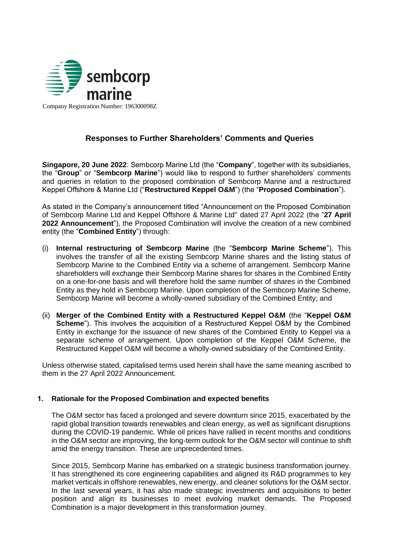

Company Registration Number: 196300098Z

# **Responses to Further Shareholders' Comments and Queries**

**Singapore, 20 June 2022**: Sembcorp Marine Ltd (the "**Company**", together with its subsidiaries, the "**Group**" or "**Sembcorp Marine**") would like to respond to further shareholders' comments and queries in relation to the proposed combination of Sembcorp Marine and a restructured Keppel Offshore & Marine Ltd ("**Restructured Keppel O&M**") (the "**Proposed Combination**").

As stated in the Company's announcement titled "Announcement on the Proposed Combination of Sembcorp Marine Ltd and Keppel Offshore & Marine Ltd" dated 27 April 2022 (the "**27 April 2022 Announcement**"), the Proposed Combination will involve the creation of a new combined entity (the "**Combined Entity**") through:

- (i) **Internal restructuring of Sembcorp Marine** (the "**Sembcorp Marine Scheme**"). This involves the transfer of all the existing Sembcorp Marine shares and the listing status of Sembcorp Marine to the Combined Entity via a scheme of arrangement. Sembcorp Marine shareholders will exchange their Sembcorp Marine shares for shares in the Combined Entity on a one-for-one basis and will therefore hold the same number of shares in the Combined Entity as they hold in Sembcorp Marine. Upon completion of the Sembcorp Marine Scheme, Sembcorp Marine will become a wholly-owned subsidiary of the Combined Entity; and
- (ii) **Merger of the Combined Entity with a Restructured Keppel O&M** (the "**Keppel O&M Scheme**"). This involves the acquisition of a Restructured Keppel O&M by the Combined Entity in exchange for the issuance of new shares of the Combined Entity to Keppel via a separate scheme of arrangement. Upon completion of the Keppel O&M Scheme, the Restructured Keppel O&M will become a wholly-owned subsidiary of the Combined Entity.

Unless otherwise stated, capitalised terms used herein shall have the same meaning ascribed to them in the 27 April 2022 Announcement.

## **1. Rationale for the Proposed Combination and expected benefits**

The O&M sector has faced a prolonged and severe downturn since 2015, exacerbated by the rapid global transition towards renewables and clean energy, as well as significant disruptions during the COVID-19 pandemic. While oil prices have rallied in recent months and conditions in the O&M sector are improving, the long-term outlook for the O&M sector will continue to shift amid the energy transition. These are unprecedented times.

Since 2015, Sembcorp Marine has embarked on a strategic business transformation journey. It has strengthened its core engineering capabilities and aligned its R&D programmes to key market verticals in offshore renewables, new energy, and cleaner solutions for the O&M sector. In the last several years, it has also made strategic investments and acquisitions to better position and align its businesses to meet evolving market demands. The Proposed Combination is a major development in this transformation journey.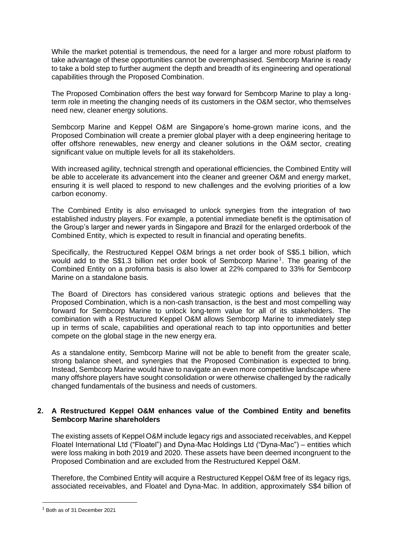While the market potential is tremendous, the need for a larger and more robust platform to take advantage of these opportunities cannot be overemphasised. Sembcorp Marine is ready to take a bold step to further augment the depth and breadth of its engineering and operational capabilities through the Proposed Combination.

The Proposed Combination offers the best way forward for Sembcorp Marine to play a longterm role in meeting the changing needs of its customers in the O&M sector, who themselves need new, cleaner energy solutions.

Sembcorp Marine and Keppel O&M are Singapore's home-grown marine icons, and the Proposed Combination will create a premier global player with a deep engineering heritage to offer offshore renewables, new energy and cleaner solutions in the O&M sector, creating significant value on multiple levels for all its stakeholders.

With increased agility, technical strength and operational efficiencies, the Combined Entity will be able to accelerate its advancement into the cleaner and greener O&M and energy market, ensuring it is well placed to respond to new challenges and the evolving priorities of a low carbon economy.

The Combined Entity is also envisaged to unlock synergies from the integration of two established industry players. For example, a potential immediate benefit is the optimisation of the Group's larger and newer yards in Singapore and Brazil for the enlarged orderbook of the Combined Entity, which is expected to result in financial and operating benefits.

Specifically, the Restructured Keppel O&M brings a net order book of S\$5.1 billion, which would add to the S\$1.3 billion net order book of Sembcorp Marine<sup>1</sup>. The gearing of the Combined Entity on a proforma basis is also lower at 22% compared to 33% for Sembcorp Marine on a standalone basis.

The Board of Directors has considered various strategic options and believes that the Proposed Combination, which is a non-cash transaction, is the best and most compelling way forward for Sembcorp Marine to unlock long-term value for all of its stakeholders. The combination with a Restructured Keppel O&M allows Sembcorp Marine to immediately step up in terms of scale, capabilities and operational reach to tap into opportunities and better compete on the global stage in the new energy era.

As a standalone entity, Sembcorp Marine will not be able to benefit from the greater scale, strong balance sheet, and synergies that the Proposed Combination is expected to bring. Instead, Sembcorp Marine would have to navigate an even more competitive landscape where many offshore players have sought consolidation or were otherwise challenged by the radically changed fundamentals of the business and needs of customers.

## **2. A Restructured Keppel O&M enhances value of the Combined Entity and benefits Sembcorp Marine shareholders**

The existing assets of Keppel O&M include legacy rigs and associated receivables, and Keppel Floatel International Ltd ("Floatel") and Dyna-Mac Holdings Ltd ("Dyna-Mac") – entities which were loss making in both 2019 and 2020. These assets have been deemed incongruent to the Proposed Combination and are excluded from the Restructured Keppel O&M.

Therefore, the Combined Entity will acquire a Restructured Keppel O&M free of its legacy rigs, associated receivables, and Floatel and Dyna-Mac. In addition, approximately S\$4 billion of

<sup>1</sup> Both as of 31 December 2021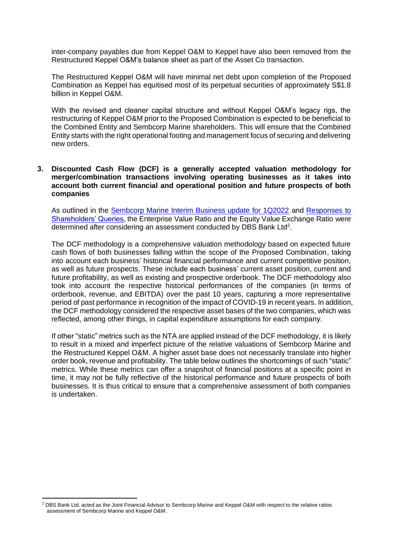inter-company payables due from Keppel O&M to Keppel have also been removed from the Restructured Keppel O&M's balance sheet as part of the Asset Co transaction.

The Restructured Keppel O&M will have minimal net debt upon completion of the Proposed Combination as Keppel has equitised most of its perpetual securities of approximately S\$1.8 billion in Keppel O&M.

With the revised and cleaner capital structure and without Keppel O&M's legacy rigs, the restructuring of Keppel O&M prior to the Proposed Combination is expected to be beneficial to the Combined Entity and Sembcorp Marine shareholders. This will ensure that the Combined Entity starts with the right operational footing and management focus of securing and delivering new orders.

#### **3. Discounted Cash Flow (DCF) is a generally accepted valuation methodology for merger/combination transactions involving operating businesses as it takes into account both current financial and operational position and future prospects of both companies**

As outlined in the [Sembcorp Marine Interim Business update for 1Q2022](https://www.sembmarine.com/stock-exchange-announcements/sembcorp-marine-interim-business-update-for-1q2022) and [Responses to](https://www.sembmarine.com/stock-exchange-announcements/responses-to-shareholders-queries)  [Shareholders' Queries,](https://www.sembmarine.com/stock-exchange-announcements/responses-to-shareholders-queries) the Enterprise Value Ratio and the Equity Value Exchange Ratio were determined after considering an assessment conducted by DBS Bank Ltd<sup>2</sup>.

The DCF methodology is a comprehensive valuation methodology based on expected future cash flows of both businesses falling within the scope of the Proposed Combination, taking into account each business' historical financial performance and current competitive position, as well as future prospects. These include each business' current asset position, current and future profitability, as well as existing and prospective orderbook. The DCF methodology also took into account the respective historical performances of the companies (in terms of orderbook, revenue, and EBITDA) over the past 10 years, capturing a more representative period of past performance in recognition of the impact of COVID-19 in recent years. In addition, the DCF methodology considered the respective asset bases of the two companies, which was reflected, among other things, in capital expenditure assumptions for each company.

If other "static" metrics such as the NTA are applied instead of the DCF methodology, it is likely to result in a mixed and imperfect picture of the relative valuations of Sembcorp Marine and the Restructured Keppel O&M. A higher asset base does not necessarily translate into higher order book, revenue and profitability. The table below outlines the shortcomings of such "static" metrics. While these metrics can offer a snapshot of financial positions at a specific point in time, it may not be fully reflective of the historical performance and future prospects of both businesses. It is thus critical to ensure that a comprehensive assessment of both companies is undertaken.

<sup>&</sup>lt;sup>2</sup> DBS Bank Ltd. acted as the Joint Financial Advisor to Sembcorp Marine and Keppel O&M with respect to the relative ratios assessment of Sembcorp Marine and Keppel O&M.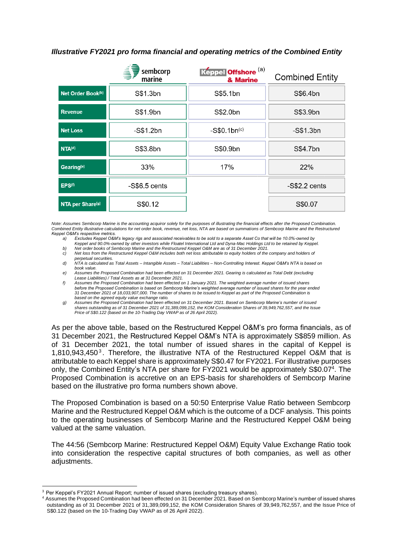## *Illustrative FY2021 pro forma financial and operating metrics of the Combined Entity*

|                        | ░<br>sembcorp<br>marine | Keppel Offshore <sup>(a)</sup><br>& Marine | <b>Combined Entity</b> |
|------------------------|-------------------------|--------------------------------------------|------------------------|
| Net Order Book(b)      | S\$1.3bn                | S\$5.1bn                                   | S\$6.4bn               |
| <b>Revenue</b>         | S\$1.9bn                | S\$2.0bn                                   | S\$3.9bn               |
| <b>Net Loss</b>        | $-S$1.2bn$              | $-S$0.1bn(c)$                              | -S\$1.3bn              |
| NTA <sup>(d)</sup>     | S\$3.8bn                | S\$0.9bn                                   | S\$4.7bn               |
| Gearing <sup>(e)</sup> | 33%                     | 17%                                        | 22%                    |
| EPS <sup>(f)</sup>     | $-$ S\$6.5 cents        |                                            | $-S$2.2 cents$         |
| NTA per Share(9)       | S\$0.12                 |                                            | S\$0.07                |

*Note: Assumes Sembcorp Marine is the accounting acquiror solely for the purposes of illustrating the financial effects after the Proposed Combination. Combined Entity illustrative calculations for net order book, revenue, net loss, NTA are based on summations of Sembcorp Marine and the Restructured Keppel O&M's respective metrics.*

- *a) Excludes Keppel O&M's legacy rigs and associated receivables to be sold to a separate Asset Co that will be 10.0%-owned by*
- *Keppel and 90.0%-owned by other investors while Floatel International Ltd and Dyna-Mac Holdings Ltd to be retained by Keppel.*
- *b) Net order books of Sembcorp Marine and the Restructured Keppel O&M are as of 31 December 2021. c) Net loss from the Restructured Keppel O&M includes both net loss attributable to equity holders of the company and holders of*
- *perpetual securities. d) NTA is calculated as Total Assets – Intangible Assets – Total Liabilities – Non-Controlling Interest. Keppel O&M's NTA is based on book value.*
- *e) Assumes the Proposed Combination had been effected on 31 December 2021. Gearing is calculated as Total Debt (excluding Lease Liabilities) / Total Assets as at 31 December 2021.*
- *f) Assumes the Proposed Combination had been effected on 1 January 2021. The weighted average number of issued shares before the Proposed Combination is based on Sembcorp Marine's weighted average number of issued shares for the year ended 31 December 2021 of 18,033,907,000. The number of shares to be issued to Keppel as part of the Proposed Combination is based on the agreed equity value exchange ratio.*
- *g) Assumes the Proposed Combination had been effected on 31 December 2021. Based on Sembcorp Marine's number of issued shares outstanding as of 31 December 2021 of 31,389,099,152, the KOM Consideration Shares of 39,949,762,557, and the Issue Price of S\$0.122 (based on the 10-Trading Day VWAP as of 26 April 2022).*

As per the above table, based on the Restructured Keppel O&M's pro forma financials, as of 31 December 2021, the Restructured Keppel O&M's NTA is approximately S\$859 million. As of 31 December 2021, the total number of issued shares in the capital of Keppel is 1,810,943,450 $3$ . Therefore, the illustrative NTA of the Restructured Keppel O&M that is attributable to each Keppel share is approximately S\$0.47 for FY2021. For illustrative purposes only, the Combined Entity's NTA per share for FY2021 would be approximately S\$0.07<sup>4</sup>. The Proposed Combination is accretive on an EPS-basis for shareholders of Sembcorp Marine based on the illustrative pro forma numbers shown above.

The Proposed Combination is based on a 50:50 Enterprise Value Ratio between Sembcorp Marine and the Restructured Keppel O&M which is the outcome of a DCF analysis. This points to the operating businesses of Sembcorp Marine and the Restructured Keppel O&M being valued at the same valuation.

The 44:56 (Sembcorp Marine: Restructured Keppel O&M) Equity Value Exchange Ratio took into consideration the respective capital structures of both companies, as well as other adjustments.

<sup>&</sup>lt;sup>3</sup> Per Keppel's FY2021 Annual Report; number of issued shares (excluding treasury shares).

<sup>4</sup> Assumes the Proposed Combination had been effected on 31 December 2021. Based on Sembcorp Marine's number of issued shares outstanding as of 31 December 2021 of 31,389,099,152, the KOM Consideration Shares of 39,949,762,557, and the Issue Price of S\$0.122 (based on the 10-Trading Day VWAP as of 26 April 2022).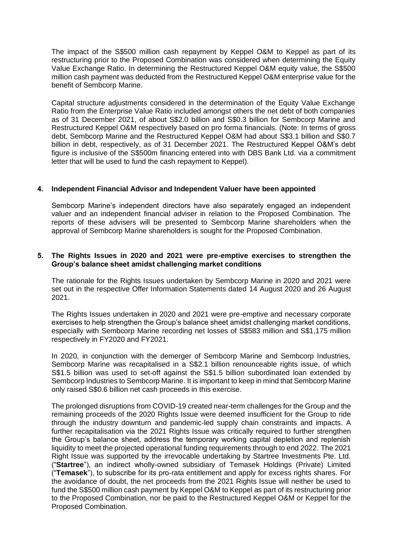The impact of the S\$500 million cash repayment by Keppel O&M to Keppel as part of its restructuring prior to the Proposed Combination was considered when determining the Equity Value Exchange Ratio. In determining the Restructured Keppel O&M equity value, the S\$500 million cash payment was deducted from the Restructured Keppel O&M enterprise value for the benefit of Sembcorp Marine.

Capital structure adjustments considered in the determination of the Equity Value Exchange Ratio from the Enterprise Value Ratio included amongst others the net debt of both companies as of 31 December 2021, of about S\$2.0 billion and S\$0.3 billion for Sembcorp Marine and Restructured Keppel O&M respectively based on pro forma financials. (Note: In terms of gross debt, Sembcorp Marine and the Restructured Keppel O&M had about S\$3.1 billion and S\$0.7 billion in debt, respectively, as of 31 December 2021. The Restructured Keppel O&M's debt figure is inclusive of the S\$500m financing entered into with DBS Bank Ltd. via a commitment letter that will be used to fund the cash repayment to Keppel).

#### **4. Independent Financial Advisor and Independent Valuer have been appointed**

Sembcorp Marine's independent directors have also separately engaged an independent valuer and an independent financial adviser in relation to the Proposed Combination. The reports of these advisers will be presented to Sembcorp Marine shareholders when the approval of Sembcorp Marine shareholders is sought for the Proposed Combination.

#### **5. The Rights Issues in 2020 and 2021 were pre-emptive exercises to strengthen the Group's balance sheet amidst challenging market conditions**

The rationale for the Rights Issues undertaken by Sembcorp Marine in 2020 and 2021 were set out in the respective Offer Information Statements dated 14 August 2020 and 26 August 2021.

The Rights Issues undertaken in 2020 and 2021 were pre-emptive and necessary corporate exercises to help strengthen the Group's balance sheet amidst challenging market conditions, especially with Sembcorp Marine recording net losses of S\$583 million and S\$1,175 million respectively in FY2020 and FY2021.

In 2020, in conjunction with the demerger of Sembcorp Marine and Sembcorp Industries, Sembcorp Marine was recapitalised in a S\$2.1 billion renounceable rights issue, of which S\$1.5 billion was used to set-off against the S\$1.5 billion subordinated loan extended by Sembcorp Industries to Sembcorp Marine. It is important to keep in mind that Sembcorp Marine only raised S\$0.6 billion net cash proceeds in this exercise.

The prolonged disruptions from COVID-19 created near-term challenges for the Group and the remaining proceeds of the 2020 Rights Issue were deemed insufficient for the Group to ride through the industry downturn and pandemic-led supply chain constraints and impacts. A further recapitalisation via the 2021 Rights Issue was critically required to further strengthen the Group's balance sheet, address the temporary working capital depletion and replenish liquidity to meet the projected operational funding requirements through to end 2022. The 2021 Right Issue was supported by the irrevocable undertaking by Startree Investments Pte. Ltd. ("**Startree**"), an indirect wholly-owned subsidiary of Temasek Holdings (Private) Limited ("**Temasek**"), to subscribe for its pro-rata entitlement and apply for excess rights shares. For the avoidance of doubt, the net proceeds from the 2021 Rights Issue will neither be used to fund the S\$500 million cash payment by Keppel O&M to Keppel as part of its restructuring prior to the Proposed Combination, nor be paid to the Restructured Keppel O&M or Keppel for the Proposed Combination.